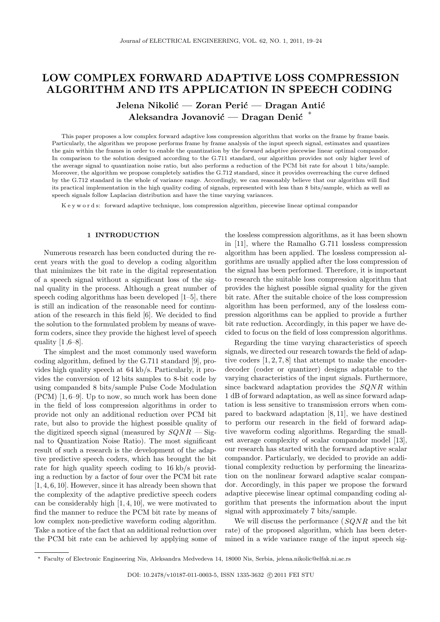# **LOW COMPLEX FORWARD ADAPTIVE LOSS COMPRESSION ALGORITHM AND ITS APPLICATION IN SPEECH CODING**

Jelena Nikolić — Zoran Perić — Dragan Antić Aleksandra Jovanović — Dragan Denić <sup>∗</sup>

This paper proposes a low complex forward adaptive loss compression algorithm that works on the frame by frame basis. Particularly, the algorithm we propose performs frame by frame analysis of the input speech signal, estimates and quantizes the gain within the frames in order to enable the quantization by the forward adaptive piecewise linear optimal compandor. In comparison to the solution designed according to the G.711 standard, our algorithm provides not only higher level of the average signal to quantization noise ratio, but also performs a reduction of the PCM bit rate for about 1 bits/sample. Moreover, the algorithm we propose completely satisfies the G.712 standard, since it provides overreaching the curve defined by the G.712 standard in the whole of variance range. Accordingly, we can reasonably believe that our algorithm will find its practical implementation in the high quality coding of signals, represented with less than 8 bits/sample, which as well as speech signals follow Laplacian distribution and have the time varying variances.

K e y w o r d s: forward adaptive technique, loss compression algorithm, piecewise linear optimal compandor

## **1 INTRODUCTION**

Numerous research has been conducted during the recent years with the goal to develop a coding algorithm that minimizes the bit rate in the digital representation of a speech signal without a significant loss of the signal quality in the process. Although a great number of speech coding algorithms has been developed [1–5], there is still an indication of the reasonable need for continuation of the research in this field [6]. We decided to find the solution to the formulated problem by means of waveform coders, since they provide the highest level of speech quality  $[1,6-8]$ .

The simplest and the most commonly used waveform coding algorithm, defined by the G.711 standard [9], provides high quality speech at 64 kb/s. Particularly, it provides the conversion of 12 bits samples to 8-bit code by using companded 8 bits/sample Pulse Code Modulation (PCM) [1, 6–9]. Up to now, so much work has been done in the field of loss compression algorithms in order to provide not only an additional reduction over PCM bit rate, but also to provide the highest possible quality of the digitized speech signal (measured by *SQNR* — Signal to Quantization Noise Ratio). The most significant result of such a research is the development of the adaptive predictive speech coders, which has brought the bit rate for high quality speech coding to 16 kb/s providing a reduction by a factor of four over the PCM bit rate [1, 4, 6, 10]. However, since it has already been shown that the complexity of the adaptive predictive speech coders can be considerably high [1, 4, 10], we were motivated to find the manner to reduce the PCM bit rate by means of low complex non-predictive waveform coding algorithm. Take a notice of the fact that an additional reduction over the PCM bit rate can be achieved by applying some of the lossless compression algorithms, as it has been shown in [11], where the Ramalho G.711 lossless compression algorithm has been applied. The lossless compression algorithms are usually applied after the loss compression of the signal has been performed. Therefore, it is important to research the suitable loss compression algorithm that provides the highest possible signal quality for the given bit rate. After the suitable choice of the loss compression algorithm has been performed, any of the lossless compression algorithms can be applied to provide a further bit rate reduction. Accordingly, in this paper we have decided to focus on the field of loss compression algorithms.

Regarding the time varying characteristics of speech signals, we directed our research towards the field of adaptive coders [1, 2, 7, 8] that attempt to make the encoderdecoder (coder or quantizer) designs adaptable to the varying characteristics of the input signals. Furthermore, since backward adaptation provides the *SQNR* within 1 dB of forward adaptation, as well as since forward adaptation is less sensitive to transmission errors when compared to backward adaptation [8, 11], we have destined to perform our research in the field of forward adaptive waveform coding algorithms. Regarding the smallest average complexity of scalar compandor model [13], our research has started with the forward adaptive scalar compandor. Particularly, we decided to provide an additional complexity reduction by performing the linearization on the nonlinear forward adaptive scalar compandor. Accordingly, in this paper we propose the forward adaptive piecewise linear optimal companding coding algorithm that presents the information about the input signal with approximately 7 bits/sample.

We will discuss the performance (*SQNR* and the bit rate) of the proposed algorithm, which has been determined in a wide variance range of the input speech sig-

*<sup>∗</sup>* Faculty of Electronic Engineering Nis, Aleksandra Medvedeva 14, 18000 Nis, Serbia, jelena.nikolic@elfak.ni.ac.rs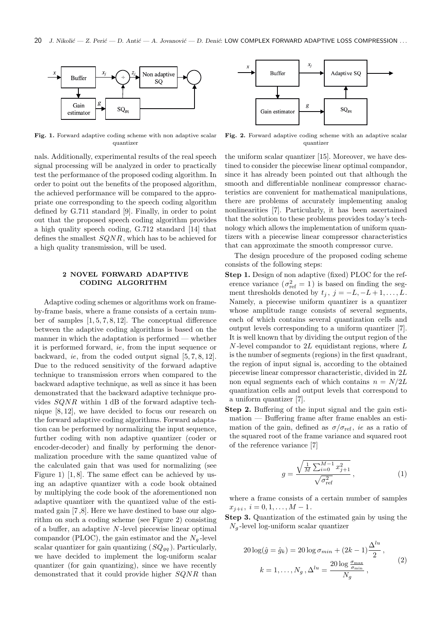

**Fig. 1.** Forward adaptive coding scheme with non adaptive scalar quantizer

nals. Additionally, experimental results of the real speech signal processing will be analyzed in order to practically test the performance of the proposed coding algorithm. In order to point out the benefits of the proposed algorithm, the achieved performance will be compared to the appropriate one corresponding to the speech coding algorithm defined by G.711 standard [9]. Finally, in order to point out that the proposed speech coding algorithm provides a high quality speech coding, G.712 standard [14] that defines the smallest *SQNR*, which has to be achieved for a high quality transmission, will be used.

## **2 NOVEL FORWARD ADAPTIVE CODING ALGORITHM**

Adaptive coding schemes or algorithms work on frameby-frame basis, where a frame consists of a certain number of samples [1, 5, 7, 8, 12]. The conceptual difference between the adaptive coding algorithms is based on the manner in which the adaptation is performed — whether it is performed forward, *ie*, from the input sequence or backward, *ie*, from the coded output signal [5, 7, 8, 12]. Due to the reduced sensitivity of the forward adaptive technique to transmission errors when compared to the backward adaptive technique, as well as since it has been demonstrated that the backward adaptive technique provides *SQNR* within 1 dB of the forward adaptive technique [8, 12], we have decided to focus our research on the forward adaptive coding algorithms. Forward adaptation can be performed by normalizing the input sequence, further coding with non adaptive quantizer (coder or encoder-decoder) and finally by performing the denormalization procedure with the same quantized value of the calculated gain that was used for normalizing (see Figure 1) [1, 8]. The same effect can be achieved by using an adaptive quantizer with a code book obtained by multiplying the code book of the aforementioned non adaptive quantizer with the quantized value of the estimated gain [7 ,8]. Here we have destined to base our algorithm on such a coding scheme (see Figure 2) consisting of a buffer, an adaptive *N* -level piecewise linear optimal compandor (PLOC), the gain estimator and the  $N<sub>g</sub>$ -level scalar quantizer for gain quantizing  $(SQ_{gq})$ . Particularly, we have decided to implement the log-uniform scalar quantizer (for gain quantizing), since we have recently demonstrated that it could provide higher *SQNR* than



**Fig. 2.** Forward adaptive coding scheme with an adaptive scalar quantizer

the uniform scalar quantizer [15]. Moreover, we have destined to consider the piecewise linear optimal compandor, since it has already been pointed out that although the smooth and differentiable nonlinear compressor characteristics are convenient for mathematical manipulations, there are problems of accurately implementing analog nonlinearities [7]. Particularly, it has been ascertained that the solution to these problems provides today's technology which allows the implementation of uniform quantizers with a piecewise linear compressor characteristics that can approximate the smooth compressor curve.

The design procedure of the proposed coding scheme consists of the following steps:

- **Step 1.** Design of non adaptive (fixed) PLOC for the reference variance  $(\sigma_{\text{ref}}^2 = 1)$  is based on finding the segment thresholds denoted by  $t_j$ ,  $j = -L, -L+1, \ldots, L$ . Namely, a piecewise uniform quantizer is a quantizer whose amplitude range consists of several segments, each of which contains several quantization cells and output levels corresponding to a uniform quantizer [7]. It is well known that by dividing the output region of the *N* -level compandor to 2*L* equidistant regions, where *L* is the number of segments (regions) in the first quadrant, the region of input signal is, according to the obtained piecewise linear compressor characteristic, divided in 2*L* non equal segments each of which contains  $n = N/2L$ quantization cells and output levels that correspond to a uniform quantizer [7].
- **Step 2.** Buffering of the input signal and the gain estimation — Buffering frame after frame enables an estimation of the gain, defined as  $\sigma/\sigma_{\text{ref}}$ , *ie* as a ratio of the squared root of the frame variance and squared root of the reference variance [7]

$$
g = \frac{\sqrt{\frac{1}{M} \sum_{i=0}^{M-1} x_{j+1}^2}}{\sqrt{\sigma_{\text{ref}}^2}},
$$
\n(1)

where a frame consists of a certain number of samples  $x_{j+i}, i = 0, 1, \ldots, M-1.$ 

**Step 3.** Quantization of the estimated gain by using the  $N_q$ -level log-uniform scalar quantizer

$$
20 \log(\hat{g} = \hat{g}_k) = 20 \log \sigma_{min} + (2k - 1) \frac{\Delta^{lu}}{2},
$$
  

$$
k = 1, \dots, N_g, \Delta^{lu} = \frac{20 \log \frac{\sigma_{\max}}{\sigma_{\min}}}{N_g},
$$
 (2)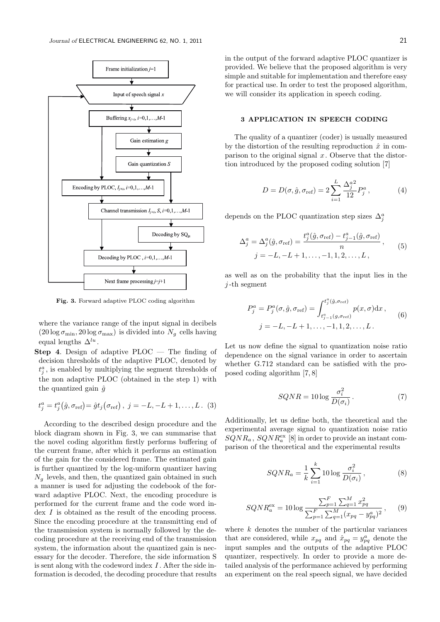

**Fig. 3.** Forward adaptive PLOC coding algorithm

where the variance range of the input signal in decibels  $(20 \log \sigma_{\min}, 20 \log \sigma_{\max})$  is divided into  $N_g$  cells having equal lengths ∆*lu* .

**Step 4**. Design of adaptive PLOC — The finding of decision thresholds of the adaptive PLOC, denoted by  $t_j^a$ , is enabled by multiplying the segment thresholds of the non adaptive PLOC (obtained in the step 1) with the quantized gain  $\hat{q}$ 

$$
t_j^a = t_j^a(\hat{g}, \sigma_{\text{ref}}) = \hat{g}t_j(\sigma_{\text{ref}}), j = -L, -L + 1, ..., L.
$$
 (3)

According to the described design procedure and the block diagram shown in Fig. 3, we can summarise that the novel coding algorithm firstly performs buffering of the current frame, after which it performs an estimation of the gain for the considered frame. The estimated gain is further quantized by the log-uniform quantizer having  $N_q$  levels, and then, the quantized gain obtained in such a manner is used for adjusting the codebook of the forward adaptive PLOC. Next, the encoding procedure is performed for the current frame and the code word index *I* is obtained as the result of the encoding process. Since the encoding procedure at the transmitting end of the transmission system is normally followed by the decoding procedure at the receiving end of the transmission system, the information about the quantized gain is necessary for the decoder. Therefore, the side information S is sent along with the codeword index *I* . After the side information is decoded, the decoding procedure that results in the output of the forward adaptive PLOC quantizer is provided. We believe that the proposed algorithm is very simple and suitable for implementation and therefore easy for practical use. In order to test the proposed algorithm, we will consider its application in speech coding.

# **3 APPLICATION IN SPEECH CODING**

The quality of a quantizer (coder) is usually measured by the distortion of the resulting reproduction  $\hat{x}$  in comparison to the original signal *x*. Observe that the distortion introduced by the proposed coding solution [7]

$$
D = D(\sigma, \hat{g}, \sigma_{\text{ref}}) = 2 \sum_{i=1}^{L} \frac{\Delta_j^{a^2}}{12} P_j^a , \qquad (4)
$$

depends on the PLOC quantization step sizes  $\Delta_j^a$ 

$$
\Delta_j^a = \Delta_j^a(\hat{g}, \sigma_{\text{ref}}) = \frac{t_j^a(\hat{g}, \sigma_{\text{ref}}) - t_{j-1}^a(\hat{g}, \sigma_{\text{ref}})}{n},
$$
  
\n
$$
j = -L, -L + 1, \dots, -1, 1, 2, \dots, L,
$$
\n(5)

as well as on the probability that the input lies in the *j* -th segment

$$
P_j^a = P_j^a(\sigma, \hat{g}, \sigma_{\text{ref}}) = \int_{t_{j-1}^a(g, \sigma_{\text{ref}})}^{t_j^a(\hat{g}, \sigma_{\text{ref}})} p(x, \sigma) dx ,
$$
  

$$
j = -L, -L + 1, \dots, -1, 1, 2, \dots, L.
$$
 (6)

Let us now define the signal to quantization noise ratio dependence on the signal variance in order to ascertain whether G.712 standard can be satisfied with the proposed coding algorithm [7, 8]

$$
SQNR = 10 \log \frac{\sigma_i^2}{D(\sigma_i)}.
$$
 (7)

Additionally, let us define both, the theoretical and the experimental average signal to quantization noise ratio  $SQNR_a$ ,  $SQNR_a^{\text{ex}}$  [8] in order to provide an instant comparison of the theoretical and the experimental results

$$
SQNR_a = \frac{1}{k} \sum_{i=1}^k 10 \log \frac{\sigma_i^2}{D(\sigma_i)},
$$
\n(8)

$$
SQNR_a^{\text{ex}} = 10 \log \frac{\sum_{p=1}^F \sum_{q=1}^M x_{pq}^2}{\sum_{p=1}^F \sum_{q=1}^M (x_{pq} - y_{pq}^a)^2}, \qquad (9)
$$

where *k* denotes the number of the particular variances that are considered, while  $x_{pq}$  and  $\hat{x}_{pq} = y_{pq}^a$  denote the input samples and the outputs of the adaptive PLOC quantizer, respectively. In order to provide a more detailed analysis of the performance achieved by performing an experiment on the real speech signal, we have decided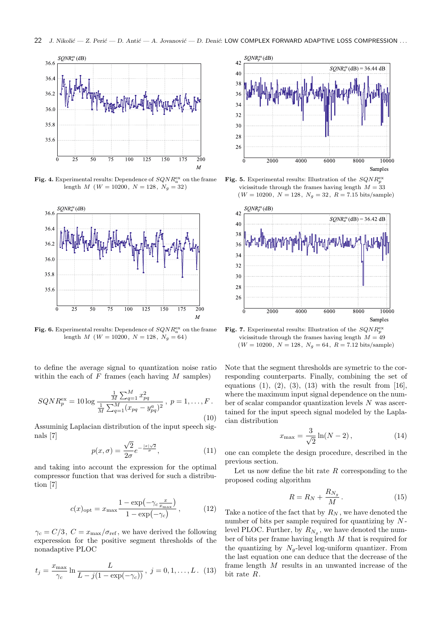

**Fig. 4.** Experimental results: Dependence of  $SQNR_a^{\text{ex}}$  on the frame length *M* ( $W = 10200$ ,  $N = 128$ ,  $N_q = 32$ )



**Fig. 6.** Experimental results: Dependence of  $SQNR_a^{\text{ex}}$  on the frame length *M* (*W* = 10200, *N* = 128,  $N_g$  = 64)

to define the average signal to quantization noise ratio within the each of *F* frames (each having *M* samples)

$$
SQNR_p^{\text{ex}} = 10 \log \frac{\frac{1}{M} \sum_{q=1}^{M} x_{pq}^2}{\frac{1}{M} \sum_{q=1}^{M} (x_{pq} - y_{pq}^a)^2}, \ p = 1, \dots, F.
$$
\n(10)

Assuminig Laplacian distribution of the input speech signals [7]

$$
p(x,\sigma) = \frac{\sqrt{2}}{2\sigma}e^{-\frac{|x|\sqrt{2}}{\sigma}},\tag{11}
$$

and taking into account the expression for the optimal compressor function that was derived for such a distribution [7]

$$
c(x)_{\text{opt}} = x_{\text{max}} \frac{1 - \exp\left(-\gamma_c \frac{x}{x_{\text{max}}}\right)}{1 - \exp\left(-\gamma_c\right)},\tag{12}
$$

 $\gamma_c = C/3$ ,  $C = x_{\text{max}}/\sigma_{\text{ref}}$ , we have derived the following experession for the positive segment thresholds of the nonadaptive PLOC

$$
t_j = \frac{x_{\text{max}}}{\gamma_c} \ln \frac{L}{L - j(1 - \exp(-\gamma_c))}, \ j = 0, 1, ..., L. \tag{13}
$$







**Fig. 7.** Experimental results: Illustration of the *SQNR*ex *p* vicissitude through the frames having length  $M = 49$  $(W = 10200, N = 128, N<sub>g</sub> = 64, R = 7.12 \text{ bits/sample})$ 

Note that the segment thresholds are symetric to the corresponding counterparts. Finally, combining the set of equations  $(1)$ ,  $(2)$ ,  $(3)$ ,  $(13)$  with the result from [16], where the maximum input signal dependence on the number of scalar compandor quantization levels *N* was ascertained for the input speech signal modeled by the Laplacian distribution

$$
x_{\max} = \frac{3}{\sqrt{2}} \ln(N - 2), \tag{14}
$$

one can complete the design procedure, described in the previous section.

Let us now define the bit rate *R* corresponding to the proposed coding algorithm

$$
R = R_N + \frac{R_{N_g}}{M} \,. \tag{15}
$$

Take a notice of the fact that by *R<sup>N</sup>* , we have denoted the number of bits per sample required for quantizing by *N* level PLOC. Further, by  $R_{N_g}$ , we have denoted the number of bits per frame having length *M* that is required for the quantizing by  $N_q$ -level log-uniform quantizer. From the last equation one can deduce that the decrease of the frame length *M* results in an unwanted increase of the bit rate *R*.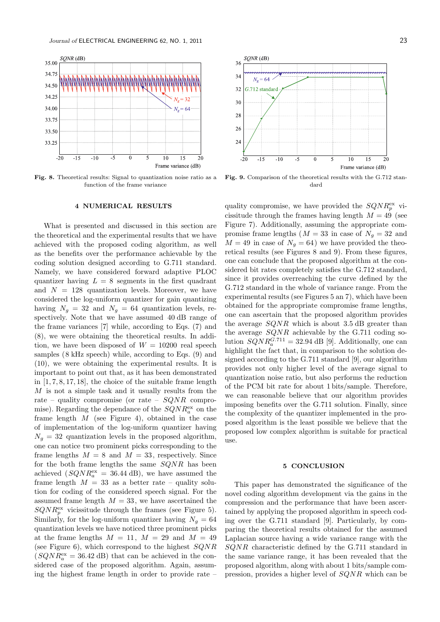

**Fig. 8.** Theoretical results: Signal to quantization noise ratio as a function of the frame variance

## **4 NUMERICAL RESULTS**

What is presented and discussed in this section are the theoretical and the experimental results that we have achieved with the proposed coding algorithm, as well as the benefits over the performance achievable by the coding solution designed according to G.711 standard. Namely, we have considered forward adaptive PLOC quantizer having  $L = 8$  segments in the first quadrant and  $N = 128$  quantization levels. Moreover, we have considered the log-uniform quantizer for gain quantizing having  $N_g = 32$  and  $N_g = 64$  quantization levels, respectively. Note that we have assumed 40 dB range of the frame variances [7] while, according to Eqs. (7) and (8), we were obtaining the theoretical results. In addition, we have been disposed of  $W = 10200$  real speech samples (8 kHz speech) while, according to Eqs. (9) and (10), we were obtaining the experimental results. It is important to point out that, as it has been demonstrated in [1, 7, 8, 17, 18], the choice of the suitable frame length *M* is not a simple task and it usually results from the rate – quality compromise (or rate – *SQNR* compromise). Regarding the dependance of the  $SQNR_a^{\text{ex}}$  on the frame length *M* (see Figure 4), obtained in the case of implementation of the log-uniform quantizer having  $N<sub>g</sub> = 32$  quantization levels in the proposed algorithm, one can notice two prominent picks corresponding to the frame lengths  $M = 8$  and  $M = 33$ , respectively. Since for the both frame lengths the same *SQNR* has been achieved  $(SQNR_a^{\text{ex}} = 36.44 \text{ dB})$ , we have assumed the frame length  $M = 33$  as a better rate – quality solution for coding of the considered speech signal. For the assumed frame length  $M = 33$ , we have ascertained the  $SQNR_{p}^{\text{ex}}$  vicissitude through the frames (see Figure 5). Similarly, for the log-uniform quantizer having  $N_q = 64$ quantization levels we have noticed three prominent picks at the frame lengths  $M = 11$ ,  $M = 29$  and  $M = 49$ (see Figure 6), which correspond to the highest *SQNR*  $(SQNR_a^{\text{ex}} = 36.42 \text{ dB})$  that can be achieved in the considered case of the proposed algorithm. Again, assuming the highest frame length in order to provide rate –



**Fig. 9.** Comparison of the theoretical results with the G.712 standard

quality compromise, we have provided the  $SQNR_p^{\text{ex}}$  vicissitude through the frames having length  $M = 49$  (see Figure 7). Additionally, assuming the appropriate compromise frame lengths ( $M = 33$  in case of  $N_q = 32$  and  $M = 49$  in case of  $N<sub>g</sub> = 64$ ) we have provided the theoretical results (see Figures 8 and 9). From these figures, one can conclude that the proposed algorithm at the considered bit rates completely satisfies the G.712 standard, since it provides overreaching the curve defined by the G.712 standard in the whole of variance range. From the experimental results (see Figures 5 an 7), which have been obtained for the appropriate compromise frame lengths, one can ascertain that the proposed algorithm provides the average *SQNR* which is about 3*.*5 dB greater than the average *SQNR* achievable by the G.711 coding solution  $SQNR_a^{G.711} = 32.94$  dB [9]. Additionally, one can highlight the fact that, in comparison to the solution designed according to the G.711 standard [9], our algorithm provides not only higher level of the average signal to quantization noise ratio, but also performs the reduction of the PCM bit rate for about 1 bits/sample. Therefore, we can reasonable believe that our algorithm provides imposing benefits over the G.711 solution. Finally, since the complexity of the quantizer implemented in the proposed algorithm is the least possible we believe that the proposed low complex algorithm is suitable for practical use.

### **5 CONCLUSION**

This paper has demonstrated the significance of the novel coding algorithm development via the gains in the compression and the performance that have been ascertained by applying the proposed algorithm in speech coding over the G.711 standard [9]. Particularly, by comparing the theoretical results obtained for the assumed Laplacian source having a wide variance range with the *SQNR* characteristic defined by the G.711 standard in the same variance range, it has been revealed that the proposed algorithm, along with about 1 bits/sample compression, provides a higher level of *SQNR* which can be